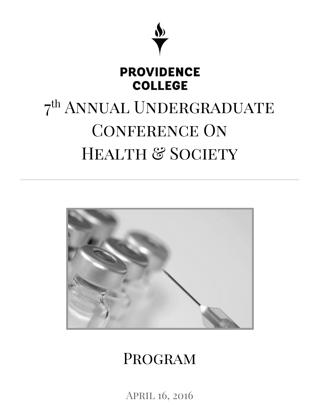

# **PROVIDENCE COLLEGE**

# 7<sup>th</sup> ANNUAL UNDERGRADUATE CONFERENCE ON HEALTH & SOCIETY



# Program

April 16, 2016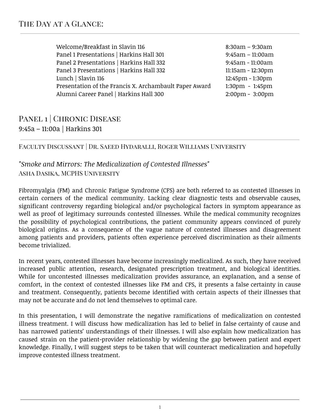| Welcome/Breakfast in Slavin 116                        |  | $8:30am - 9:30am$                 |
|--------------------------------------------------------|--|-----------------------------------|
| Panel 1 Presentations   Harkins Hall 301               |  | $9:45am - 11:00am$                |
| Panel 2 Presentations   Harkins Hall 332               |  | 9:45am - 11:00am                  |
| Panel 3 Presentations   Harkins Hall 332               |  | 11:15am - 12:30pm                 |
| Lunch   Slavin 116                                     |  | 12:45pm - 1:30pm                  |
| Presentation of the Francis X. Archambault Paper Award |  | $1:30 \text{pm} - 1:45 \text{pm}$ |
| Alumni Career Panel   Harkins Hall 300                 |  | $2:00 \text{pm} - 3:00 \text{pm}$ |

## PANEL 1 | CHRONIC DISEASE 9:45a – 11:00a | Harkins 301

#### Faculty Discussant | Dr. Saeed Hydaralli, Roger Williams University

#### *"Smoke and Mirrors: The Medicalization of Contested Illnesses"* Asha Dasika, MCPHS University

Fibromyalgia (FM) and Chronic Fatigue Syndrome (CFS) are both referred to as contested illnesses in certain corners of the medical community. Lacking clear diagnostic tests and observable causes, significant controversy regarding biological and/or psychological factors in symptom appearance as well as proof of legitimacy surrounds contested illnesses. While the medical community recognizes the possibility of psychological contributions, the patient community appears convinced of purely biological origins. As a consequence of the vague nature of contested illnesses and disagreement among patients and providers, patients often experience perceived discrimination as their ailments become trivialized.

In recent years, contested illnesses have become increasingly medicalized. As such, they have received increased public attention, research, designated prescription treatment, and biological identities. While for uncontested illnesses medicalization provides assurance, an explanation, and a sense of comfort, in the context of contested illnesses like FM and CFS, it presents a false certainty in cause and treatment. Consequently, patients become identified with certain aspects of their illnesses that may not be accurate and do not lend themselves to optimal care.

In this presentation, I will demonstrate the negative ramifications of medicalization on contested illness treatment. I will discuss how medicalization has led to belief in false certainty of cause and has narrowed patients' understandings of their illnesses. I will also explain how medicalization has caused strain on the patient-provider relationship by widening the gap between patient and expert knowledge. Finally, I will suggest steps to be taken that will counteract medicalization and hopefully improve contested illness treatment.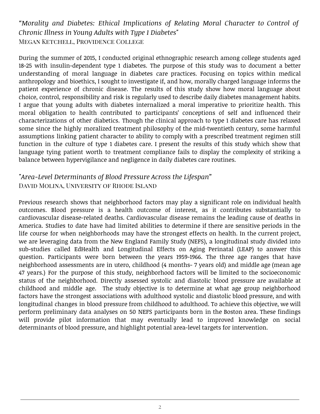*"Morality and Diabetes: Ethical Implications of Relating Moral Character to Control of Chronic Illness in Young Adults with Type 1 Diabetes"* Megan Ketchell, Providence College

During the summer of 2015, I conducted original ethnographic research among college students aged 18-25 with insulin-dependent type 1 diabetes. The purpose of this study was to document a better understanding of moral language in diabetes care practices. Focusing on topics within medical anthropology and bioethics, I sought to investigate if, and how, morally charged language informs the patient experience of chronic disease. The results of this study show how moral language about choice, control, responsibility and risk is regularly used to describe daily diabetes management habits. I argue that young adults with diabetes internalized a moral imperative to prioritize health. This moral obligation to health contributed to participants' conceptions of self and influenced their characterizations of other diabetics. Though the clinical approach to type 1 diabetes care has relaxed some since the highly moralized treatment philosophy of the mid-twentieth century, some harmful assumptions linking patient character to ability to comply with a prescribed treatment regimen still function in the culture of type 1 diabetes care. I present the results of this study which show that language tying patient worth to treatment compliance fails to display the complexity of striking a balance between hypervigilance and negligence in daily diabetes care routines.

#### *"Area-Level Determinants of Blood Pressure Across the Lifespan"* David Molina, University of Rhode Island

Previous research shows that neighborhood factors may play a significant role on individual health outcomes. Blood pressure is a health outcome of interest, as it contributes substantially to cardiovascular disease-related deaths. Cardiovascular disease remains the leading cause of deaths in America. Studies to date have had limited abilities to determine if there are sensitive periods in the life course for when neighborhoods may have the strongest effects on health. In the current project, we are leveraging data from the New England Family Study (NEFS), a longitudinal study divided into sub-studies called EdHealth and Longitudinal Effects on Aging Perinatal (LEAP) to answer this question. Participants were born between the years 1959-1966. The three age ranges that have neighborhood assessments are in utero, childhood (4 months- 7 years old) and middle age (mean age 47 years.) For the purpose of this study, neighborhood factors will be limited to the socioeconomic status of the neighborhood. Directly assessed systolic and diastolic blood pressure are available at childhood and middle age. The study objective is to determine at what age group neighborhood factors have the strongest associations with adulthood systolic and diastolic blood pressure, and with longitudinal changes in blood pressure from childhood to adulthood. To achieve this objective, we will perform preliminary data analyses on 50 NEFS participants born in the Boston area. These findings will provide pilot information that may eventually lead to improved knowledge on social determinants of blood pressure, and highlight potential area-level targets for intervention.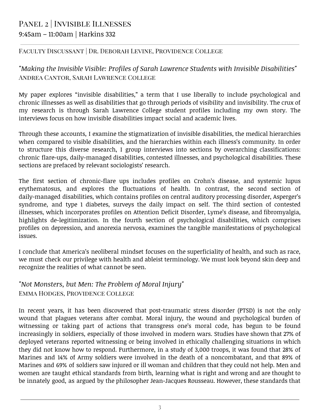# Panel 2 | Invisible Illnesses 9:45am – 11:00am | Harkins 332

#### Faculty Discussant | Dr. Deborah Levine, Providence College

*"Making the Invisible Visible: Profiles of Sarah Lawrence Students with Invisible Disabilities"* Andrea Cantor, Sarah Lawrence College

My paper explores "invisible disabilities," a term that I use liberally to include psychological and chronic illnesses as well as disabilities that go through periods of visibility and invisibility. The crux of my research is through Sarah Lawrence College student profiles including my own story. The interviews focus on how invisible disabilities impact social and academic lives.

Through these accounts, I examine the stigmatization of invisible disabilities, the medical hierarchies when compared to visible disabilities, and the hierarchies within each illness's community. In order to structure this diverse research, I group interviews into sections by overarching classifications: chronic flare-ups, daily-managed disabilities, contested illnesses, and psychological disabilities. These sections are prefaced by relevant sociologists' research.

The first section of chronic-flare ups includes profiles on Crohn's disease, and systemic lupus erythematosus, and explores the fluctuations of health. In contrast, the second section of daily-managed disabilities, which contains profiles on central auditory processing disorder, Asperger's syndrome, and type 1 diabetes, surveys the daily impact on self. The third section of contested illnesses, which incorporates profiles on Attention Deficit Disorder, Lyme's disease, and fibromyalgia, highlights de-legitimization. In the fourth section of psychological disabilities, which comprises profiles on depression, and anorexia nervosa, examines the tangible manifestations of psychological issues.

I conclude that America's neoliberal mindset focuses on the superficiality of health, and such as race, we must check our privilege with health and ableist terminology. We must look beyond skin deep and recognize the realities of what cannot be seen.

#### *"Not Monsters, but Men: The Problem of Moral Injury"* Emma Hodges, Providence College

In recent years, it has been discovered that post-traumatic stress disorder (PTSD) is not the only wound that plagues veterans after combat. Moral injury, the wound and psychological burden of witnessing or taking part of actions that transgress one's moral code, has begun to be found increasingly in soldiers, especially of those involved in modern wars. Studies have shown that 27% of deployed veterans reported witnessing or being involved in ethically challenging situations in which they did not know how to respond. Furthermore, in a study of 3,000 troops, it was found that 28% of Marines and 14% of Army soldiers were involved in the death of a noncombatant, and that 89% of Marines and 69% of soldiers saw injured or ill woman and children that they could not help. Men and women are taught ethical standards from birth, learning what is right and wrong and are thought to be innately good, as argued by the philosopher Jean-Jacques Rousseau. However, these standards that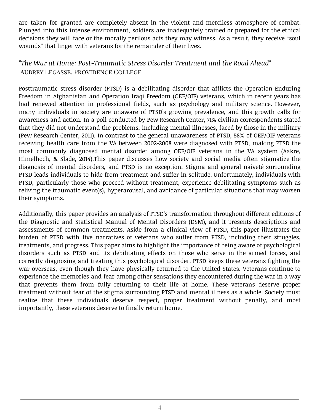are taken for granted are completely absent in the violent and merciless atmosphere of combat. Plunged into this intense environment, soldiers are inadequately trained or prepared for the ethical decisions they will face or the morally perilous acts they may witness. As a result, they receive "soul wounds" that linger with veterans for the remainder of their lives.

#### *"The War at Home: Post-Traumatic Stress Disorder Treatment and the Road Ahead"* Aubrey Legasse, Providence College

Posttraumatic stress disorder (PTSD) is a debilitating disorder that afflicts the Operation Enduring Freedom in Afghanistan and Operation Iraqi Freedom (OEF/OIF) veterans, which in recent years has had renewed attention in professional fields, such as psychology and military science. However, many individuals in society are unaware of PTSD's growing prevalence, and this growth calls for awareness and action. In a poll conducted by Pew Research Center, 71% civilian correspondents stated that they did not understand the problems, including mental illnesses, faced by those in the military (Pew Research Center, 2011). In contrast to the general unawareness of PTSD, 58% of OEF/OIF veterans receiving health care from the VA between 2002-2008 were diagnosed with PTSD, making PTSD the most commonly diagnosed mental disorder among OEF/OIF veterans in the VA system (Aakre, Himelhoch, & Slade, 2014).This paper discusses how society and social media often stigmatize the diagnosis of mental disorders, and PTSD is no exception. Stigma and general naiveté surrounding PTSD leads individuals to hide from treatment and suffer in solitude. Unfortunately, individuals with PTSD, particularly those who proceed without treatment, experience debilitating symptoms such as reliving the traumatic event(s), hyperarousal, and avoidance of particular situations that may worsen their symptoms.

Additionally, this paper provides an analysis of PTSD's transformation throughout different editions of the Diagnostic and Statistical Manual of Mental Disorders (DSM), and it presents descriptions and assessments of common treatments. Aside from a clinical view of PTSD, this paper illustrates the burden of PTSD with five narratives of veterans who suffer from PTSD, including their struggles, treatments, and progress. This paper aims to highlight the importance of being aware of psychological disorders such as PTSD and its debilitating effects on those who serve in the armed forces, and correctly diagnosing and treating this psychological disorder. PTSD keeps these veterans fighting the war overseas, even though they have physically returned to the United States. Veterans continue to experience the memories and fear among other sensations they encountered during the war in a way that prevents them from fully returning to their life at home. These veterans deserve proper treatment without fear of the stigma surrounding PTSD and mental illness as a whole. Society must realize that these individuals deserve respect, proper treatment without penalty, and most importantly, these veterans deserve to finally return home.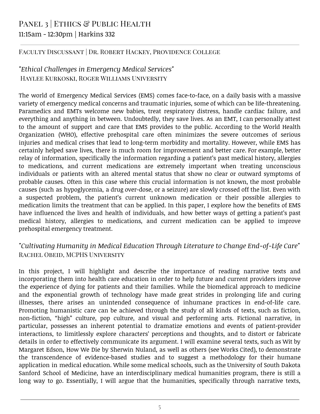# PANEL 3 | ETHICS & PUBLIC HEALTH 11:15am - 12:30pm | Harkins 332

#### Faculty Discussant | Dr. Robert Hackey, Providence College

#### *"Ethical Challenges in Emergency Medical Services"* Haylee Kurkoski, Roger Williams University

The world of Emergency Medical Services (EMS) comes face-to-face, on a daily basis with a massive variety of emergency medical concerns and traumatic injuries, some of which can be life-threatening. Paramedics and EMTs welcome new babies, treat respiratory distress, handle cardiac failure, and everything and anything in between. Undoubtedly, they save lives. As an EMT, I can personally attest to the amount of support and care that EMS provides to the public. According to the World Health Organization (WHO), effective prehospital care often minimizes the severe outcomes of serious injuries and medical crises that lead to long-term morbidity and mortality. However, while EMS has certainly helped save lives, there is much room for improvement and better care. For example, better relay of information, specifically the information regarding a patient's past medical history, allergies to medications, and current medications are extremely important when treating unconscious individuals or patients with an altered mental status that show no clear or outward symptoms of probable causes. Often in this case where this crucial information is not known, the most probable causes (such as hypoglycemia, a drug over-dose, or a seizure) are slowly crossed off the list. Even with a suspected problem, the patient's current unknown medication or their possible allergies to medication limits the treatment that can be applied. In this paper, I explore how the benefits of EMS have influenced the lives and health of individuals, and how better ways of getting a patient's past medical history, allergies to medications, and current medication can be applied to improve prehospital emergency treatment.

#### *"Cultivating Humanity in Medical Education Through Literature to Change End-of-Life Care"* Rachel Obeid, MCPHS University

In this project, I will highlight and describe the importance of reading narrative texts and incorporating them into health care education in order to help future and current providers improve the experience of dying for patients and their families. While the biomedical approach to medicine and the exponential growth of technology have made great strides in prolonging life and curing illnesses, there arises an unintended consequence of inhumane practices in end-of-life care. Promoting humanistic care can be achieved through the study of all kinds of texts, such as fiction, non-fiction, "high" culture, pop culture, and visual and performing arts. Fictional narrative, in particular, possesses an inherent potential to dramatize emotions and events of patient-provider interactions, to limitlessly explore characters' perceptions and thoughts, and to distort or fabricate details in order to effectively communicate its argument. I will examine several texts, such as Wit by Margaret Edson, How We Die by Sherwin Nuland, as well as others (see Works Cited), to demonstrate the transcendence of evidence-based studies and to suggest a methodology for their humane application in medical education. While some medical schools, such as the University of South Dakota Sanford School of Medicine, have an interdisciplinary medical humanities program, there is still a long way to go. Essentially, I will argue that the humanities, specifically through narrative texts,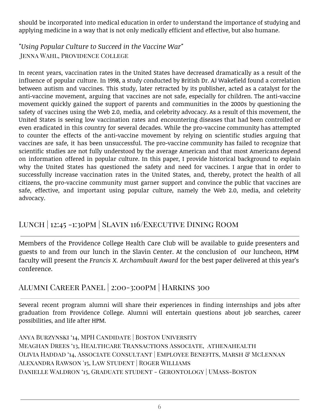should be incorporated into medical education in order to understand the importance of studying and applying medicine in a way that is not only medically efficient and effective, but also humane.

*"Using Popular Culture to Succeed in the Vaccine War"* Jenna Wahl, Providence College

In recent years, vaccination rates in the United States have decreased dramatically as a result of the influence of popular culture. In 1998, a study conducted by British Dr. AJ Wakefield found a correlation between autism and vaccines. This study, later retracted by its publisher, acted as a catalyst for the anti-vaccine movement, arguing that vaccines are not safe, especially for children. The anti-vaccine movement quickly gained the support of parents and communities in the 2000s by questioning the safety of vaccines using the Web 2.0, media, and celebrity advocacy. As a result of this movement, the United States is seeing low vaccination rates and encountering diseases that had been controlled or even eradicated in this country for several decades. While the pro-vaccine community has attempted to counter the effects of the anti-vaccine movement by relying on scientific studies arguing that vaccines are safe, it has been unsuccessful. The pro-vaccine community has failed to recognize that scientific studies are not fully understood by the average American and that most Americans depend on information offered in popular culture. In this paper, I provide historical background to explain why the United States has questioned the safety and need for vaccines. I argue that in order to successfully increase vaccination rates in the United States, and, thereby, protect the health of all citizens, the pro-vaccine community must garner support and convince the public that vaccines are safe, effective, and important using popular culture, namely the Web 2.0, media, and celebrity advocacy.

## Lunch | 12:45 -1:30pm | Slavin 116/Executive Dining Room

Members of the Providence College Health Care Club will be available to guide presenters and guests to and from our lunch in the Slavin Center. At the conclusion of our luncheon, HPM faculty will present the *Francis X. Archambault Award* for the best paper delivered at this year's conference.

## Alumni Career Panel | 2:00-3:00pm | Harkins 300

Several recent program alumni will share their experiences in finding internships and jobs after graduation from Providence College. Alumni will entertain questions about job searches, career possibilities, and life after HPM.

Anya Burzynski '14, MPH Candidate | Boston University Meaghan Drees '13, Healthcare Transactions Associate, athenahealth Olivia Haddad '14, Associate Consultant | Employee Benefits, Marsh & McLennan Alexandra Rawson '15, Law Student | Roger Williams Danielle Waldron '15, Graduate student - Gerontology | UMass-Boston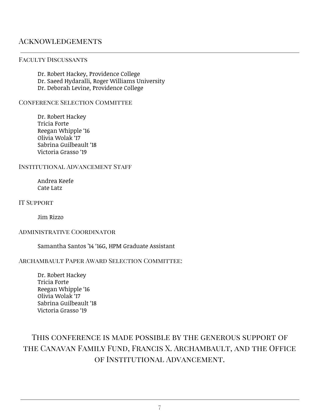#### **ACKNOWLEDGEMENTS**

#### Faculty Discussants

Dr. Robert Hackey, Providence College Dr. Saeed Hydaralli, Roger Williams University Dr. Deborah Levine, Providence College

#### CONFERENCE SELECTION COMMITTEE

Dr. Robert Hackey Tricia Forte Reegan Whipple '16 Olivia Wolak '17 Sabrina Guilbeault '18 Victoria Grasso '19

#### Institutional Advancement Staff

Andrea Keefe Cate Latz

IT SUPPORT

Jim Rizzo

#### Administrative Coordinator

Samantha Santos '14 '16G, HPM Graduate Assistant

#### Archambault Paper Award Selection Committee:

Dr. Robert Hackey Tricia Forte Reegan Whipple '16 Olivia Wolak '17 Sabrina Guilbeault '18 Victoria Grasso '19

# This conference is made possible by the generous support of the Canavan Family Fund, Francis X. Archambault, and the Office of Institutional Advancement.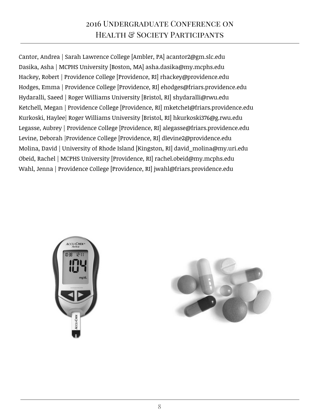# 2016 Undergraduate Conference on HEALTH & SOCIETY PARTICIPANTS

Cantor, Andrea | Sarah Lawrence College [Ambler, PA] acantor2@gm.slc.edu Dasika, Asha | MCPHS University [Boston, MA] asha.dasika@my.mcphs.edu Hackey, Robert | Providence College [Providence, RI] rhackey@providence.edu Hodges, Emma | Providence College [Providence, RI] ehodges@friars.providence.edu Hydaralli, Saeed | Roger Williams University [Bristol, RI] shydaralli@rwu.edu Ketchell, Megan | Providence College [Providence, RI] mketche1@friars.providence.edu Kurkoski, Haylee| Roger Williams University [Bristol, RI] hkurkoski376@g.rwu.edu Legasse, Aubrey | Providence College [Providence, RI] alegasse@friars.providence.edu Levine, Deborah |Providence College [Providence, RI] dlevine2@providence.edu Molina, David | University of Rhode Island [Kingston, RI] david\_molina@my.uri.edu Obeid, Rachel | MCPHS University [Providence, RI] rachel.obeid@my.mcphs.edu Wahl, Jenna | Providence College [Providence, RI] jwahl@friars.providence.edu